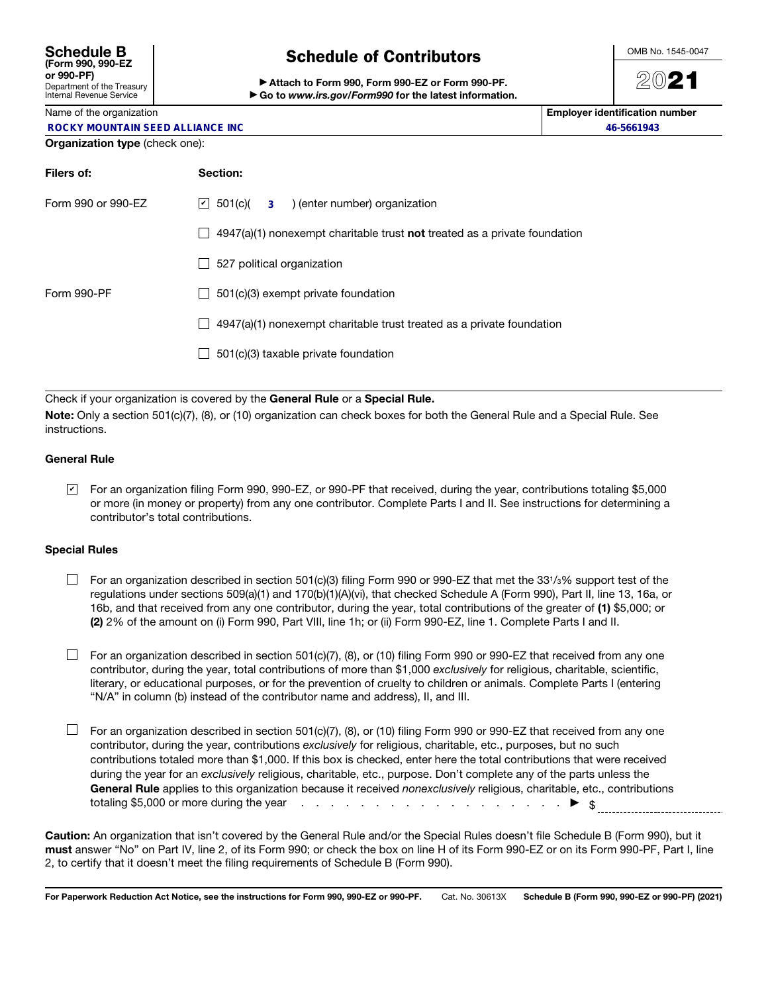#### Schedule B (Form 990, 990-EZ or 990-PF) Department of the Treasury Internal Revenue Service

## Schedule of Contributors

▶ Attach to Form 990, Form 990-EZ or Form 990-PF. ▶ Go to *www.irs.gov/Form990* for the latest information. OMB No. 1545-0047

# 2021

Name of the organization **Employer identification number**  $\blacksquare$ 

**46-5661943**

|  |  | <b>ROCKY MOUNTAIN SEED ALLIANCE INC</b> |  |  |  |  |
|--|--|-----------------------------------------|--|--|--|--|
|--|--|-----------------------------------------|--|--|--|--|

### Organization type (check one):

| Filers of:         | Section:                                                                                          |  |  |  |
|--------------------|---------------------------------------------------------------------------------------------------|--|--|--|
| Form 990 or 990-EZ | $ v $ 501(c)( $\overline{3}$ ) (enter number) organization                                        |  |  |  |
|                    | $4947(a)(1)$ nonexempt charitable trust not treated as a private foundation<br>$\blacksquare$     |  |  |  |
|                    | 527 political organization                                                                        |  |  |  |
| Form 990-PF        | 501(c)(3) exempt private foundation                                                               |  |  |  |
|                    | 4947(a)(1) nonexempt charitable trust treated as a private foundation<br>$\overline{\phantom{a}}$ |  |  |  |
|                    | 501(c)(3) taxable private foundation                                                              |  |  |  |
|                    |                                                                                                   |  |  |  |

Check if your organization is covered by the General Rule or a Special Rule.

Note: Only a section 501(c)(7), (8), or (10) organization can check boxes for both the General Rule and a Special Rule. See instructions.

#### General Rule

For an organization filing Form 990, 990-EZ, or 990-PF that received, during the year, contributions totaling \$5,000 ✔or more (in money or property) from any one contributor. Complete Parts I and II. See instructions for determining a contributor's total contributions.

#### Special Rules

- $\Box$  For an organization described in section 501(c)(3) filing Form 990 or 990-EZ that met the 331/3% support test of the regulations under sections 509(a)(1) and 170(b)(1)(A)(vi), that checked Schedule A (Form 990), Part II, line 13, 16a, or 16b, and that received from any one contributor, during the year, total contributions of the greater of (1) \$5,000; or (2) 2% of the amount on (i) Form 990, Part VIII, line 1h; or (ii) Form 990-EZ, line 1. Complete Parts I and II.
- $\Box$  For an organization described in section 501(c)(7), (8), or (10) filing Form 990 or 990-EZ that received from any one contributor, during the year, total contributions of more than \$1,000 *exclusively* for religious, charitable, scientific, literary, or educational purposes, or for the prevention of cruelty to children or animals. Complete Parts I (entering "N/A" in column (b) instead of the contributor name and address), II, and III.
- $\Box$  For an organization described in section 501(c)(7), (8), or (10) filing Form 990 or 990-EZ that received from any one contributor, during the year, contributions *exclusively* for religious, charitable, etc., purposes, but no such contributions totaled more than \$1,000. If this box is checked, enter here the total contributions that were received during the year for an *exclusively* religious, charitable, etc., purpose. Don't complete any of the parts unless the General Rule applies to this organization because it received *nonexclusively* religious, charitable, etc., contributions totaling \$5,000 or more during the year  $\cdots$  . . . . . . . . . . . . . . . .  $\blacktriangleright$  \$

Caution: An organization that isn't covered by the General Rule and/or the Special Rules doesn't file Schedule B (Form 990), but it must answer "No" on Part IV, line 2, of its Form 990; or check the box on line H of its Form 990-EZ or on its Form 990-PF, Part I, line 2, to certify that it doesn't meet the filing requirements of Schedule B (Form 990).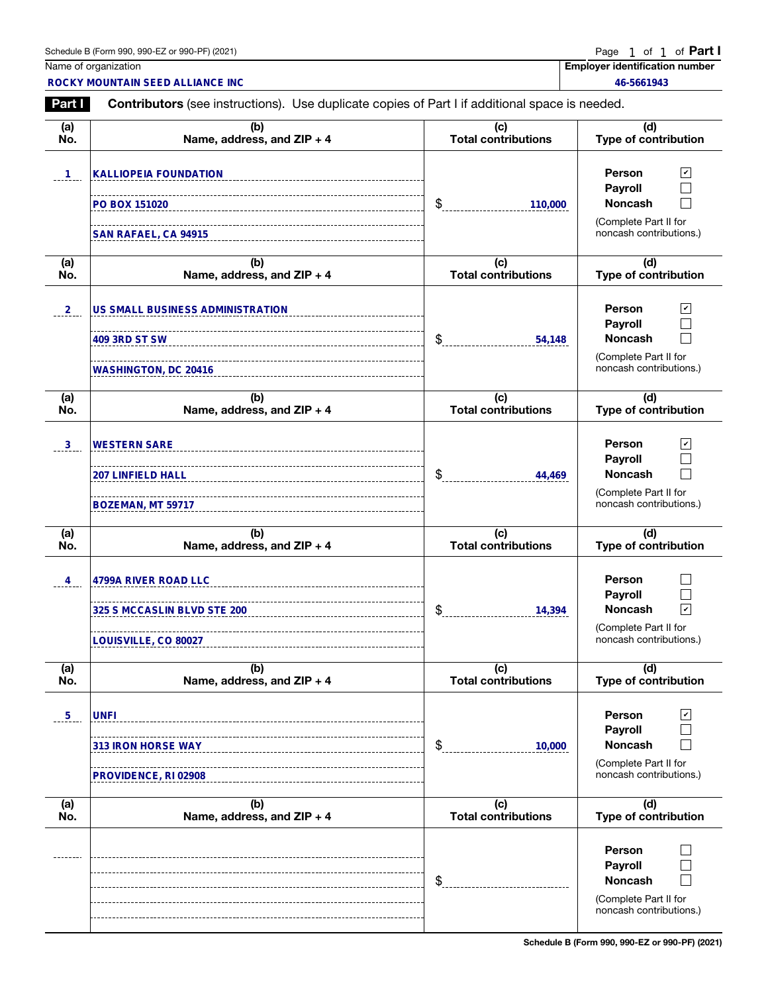| Schedule B (Form 990, 990-EZ or 990-PF) (2021)<br>$\mathcal{L}$ . The contract of the contract of the contract of the contract of the contract of the contract of the contract of the contract of the contract of the contract of the contract of the contract of the contract of th | Page 1 of 1 of <b>Part</b> |
|--------------------------------------------------------------------------------------------------------------------------------------------------------------------------------------------------------------------------------------------------------------------------------------|----------------------------|
|--------------------------------------------------------------------------------------------------------------------------------------------------------------------------------------------------------------------------------------------------------------------------------------|----------------------------|

1

|                | Schedule B (Form 990, 990-EZ or 990-PF) (2021)                                                        |                                   | Page<br>1 of 1 of <b>Part I</b>                                                                                                |  |  |
|----------------|-------------------------------------------------------------------------------------------------------|-----------------------------------|--------------------------------------------------------------------------------------------------------------------------------|--|--|
|                | Name of organization<br><b>ROCKY MOUNTAIN SEED ALLIANCE INC</b>                                       |                                   | <b>Employer identification number</b><br>46-5661943                                                                            |  |  |
| <b>Part I</b>  | <b>Contributors</b> (see instructions). Use duplicate copies of Part I if additional space is needed. |                                   |                                                                                                                                |  |  |
| (a)<br>No.     | (b)<br>Name, address, and ZIP + 4                                                                     | (c)<br><b>Total contributions</b> | (d)<br>Type of contribution                                                                                                    |  |  |
| $\mathbf{1}$   | <b>KALLIOPEIA FOUNDATION</b>                                                                          |                                   | $\sqrt{2}$<br><b>Person</b><br>Payroll<br>L.                                                                                   |  |  |
|                | PO BOX 151020<br>SAN RAFAEL, CA 94915                                                                 | \$<br>110,000                     | <b>Noncash</b><br>$\vert \ \ \vert$<br>(Complete Part II for<br>noncash contributions.)                                        |  |  |
| (a)<br>No.     | (b)<br>Name, address, and ZIP + 4                                                                     | (c)<br><b>Total contributions</b> | (d)<br><b>Type of contribution</b>                                                                                             |  |  |
| $^{2}$         | <b>US SMALL BUSINESS ADMINISTRATION</b><br><b>WASHINGTON, DC 20416</b>                                | \$<br>54,148                      | $\sqrt{2}$<br>Person<br><b>Payroll</b><br><b>Noncash</b><br><b>College</b><br>(Complete Part II for<br>noncash contributions.) |  |  |
| (a)<br>No.     | (b)<br>Name, address, and ZIP + 4                                                                     | (c)<br><b>Total contributions</b> | (d)<br><b>Type of contribution</b>                                                                                             |  |  |
| 3 <sub>1</sub> | <b>WESTERN SARE</b><br><b>207 LINFIELD HALL</b><br>BOZEMAN, MT 59717                                  | \$<br>44,469                      | $\sqrt{2}$<br>Person<br>Payroll<br><b>Noncash</b><br>(Complete Part II for<br>noncash contributions.)                          |  |  |
| (a)<br>No.     | (b)<br>Name, address, and ZIP + 4                                                                     | (c)<br><b>Total contributions</b> | (d)<br><b>Type of contribution</b>                                                                                             |  |  |
| 4              | <b>4799A RIVER ROAD LLC</b><br>325 S MCCASLIN BLVD STE 200<br>LOUISVILLE, CO 80027                    | ¢<br>14,394                       | <b>Person</b><br>Payroll<br>$\overline{\mathbf{v}}$<br><b>Noncash</b><br>(Complete Part II for<br>noncash contributions.)      |  |  |
| (a)<br>No.     | (b)<br>Name, address, and ZIP + 4                                                                     | (c)<br><b>Total contributions</b> | (d)<br><b>Type of contribution</b>                                                                                             |  |  |
| 5 <sub>1</sub> | <b>UNFI</b><br><b>313 IRON HORSE WAY</b><br><b>PROVIDENCE, RI 02908</b>                               | \$<br>10,000                      | <b>Person</b><br>V<br>Payroll<br><b>Noncash</b><br>(Complete Part II for<br>noncash contributions.)                            |  |  |
| (a)<br>No.     | (b)<br>Name, address, and ZIP + 4                                                                     | (c)<br><b>Total contributions</b> | (d)<br><b>Type of contribution</b>                                                                                             |  |  |
|                |                                                                                                       | \$                                | <b>Person</b><br>Payroll<br><b>Noncash</b><br>(Complete Part II for<br>noncash contributions.)                                 |  |  |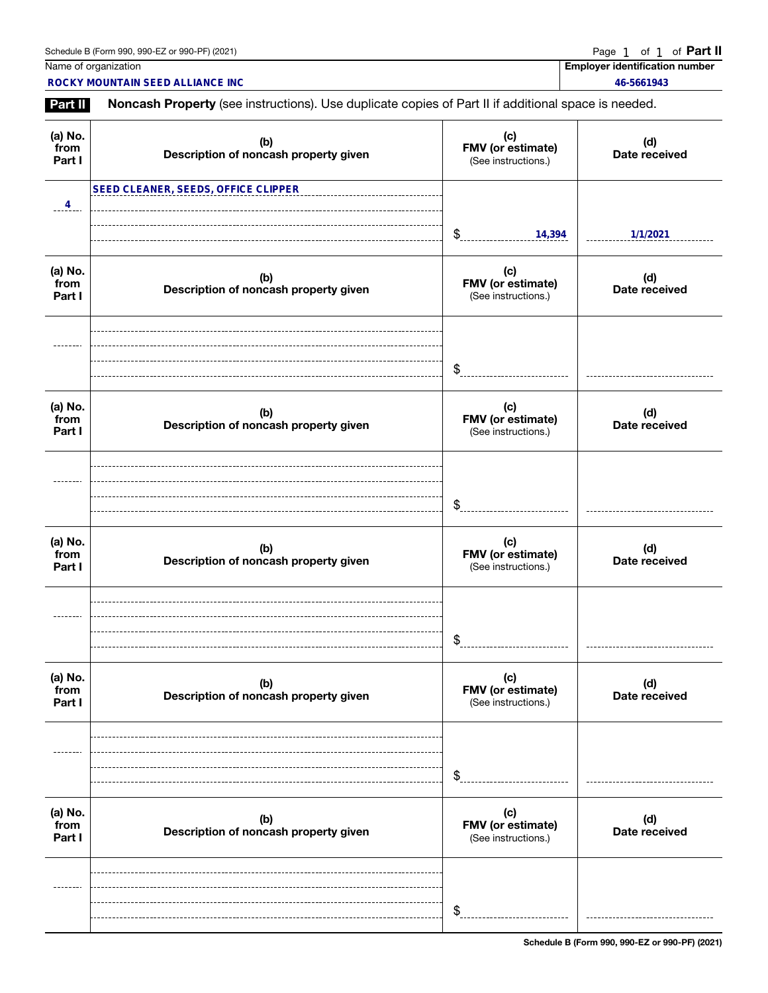Page 1 of 1 of Part II

|                           | Schedule B (Form 990, 990-EZ or 990-PF) (2021)                                                      |                                                 | Page 1<br>of 1<br>of <b>Part II</b>                 |  |  |
|---------------------------|-----------------------------------------------------------------------------------------------------|-------------------------------------------------|-----------------------------------------------------|--|--|
|                           | Name of organization<br>ROCKY MOUNTAIN SEED ALLIANCE INC                                            |                                                 | <b>Employer identification number</b><br>46-5661943 |  |  |
| Part II                   | Noncash Property (see instructions). Use duplicate copies of Part II if additional space is needed. |                                                 |                                                     |  |  |
| (a) No.<br>from<br>Part I | (b)<br>Description of noncash property given                                                        | (c)<br>FMV (or estimate)<br>(See instructions.) | (d)<br>Date received                                |  |  |
|                           | <b>SEED CLEANER, SEEDS, OFFICE CLIPPER</b>                                                          |                                                 |                                                     |  |  |
| $\frac{4}{1}$             |                                                                                                     | \$<br>14,394                                    | 1/1/2021                                            |  |  |
| (a) No.<br>from<br>Part I | (b)<br>Description of noncash property given                                                        | (c)<br>FMV (or estimate)<br>(See instructions.) | (d)<br>Date received                                |  |  |
|                           |                                                                                                     | \$                                              |                                                     |  |  |
| (a) No.<br>from<br>Part I | (b)<br>Description of noncash property given                                                        | (c)<br>FMV (or estimate)<br>(See instructions.) | (d)<br>Date received                                |  |  |
|                           |                                                                                                     | \$                                              |                                                     |  |  |
| (a) No.<br>from<br>Part I | (b)<br>Description of noncash property given                                                        | (c)<br>FMV (or estimate)<br>(See instructions.) | (d)<br>Date received                                |  |  |
|                           |                                                                                                     | \$                                              |                                                     |  |  |
| (a) No.<br>from<br>Part I | (b)<br>Description of noncash property given                                                        | (c)<br>FMV (or estimate)<br>(See instructions.) | (d)<br>Date received                                |  |  |
|                           |                                                                                                     | \$                                              |                                                     |  |  |
| (a) No.<br>from<br>Part I | (b)<br>Description of noncash property given                                                        | (c)<br>FMV (or estimate)<br>(See instructions.) | (d)<br>Date received                                |  |  |
|                           |                                                                                                     | \$                                              |                                                     |  |  |

Schedule B (Form 990, 990-EZ or 990-PF) (2021)